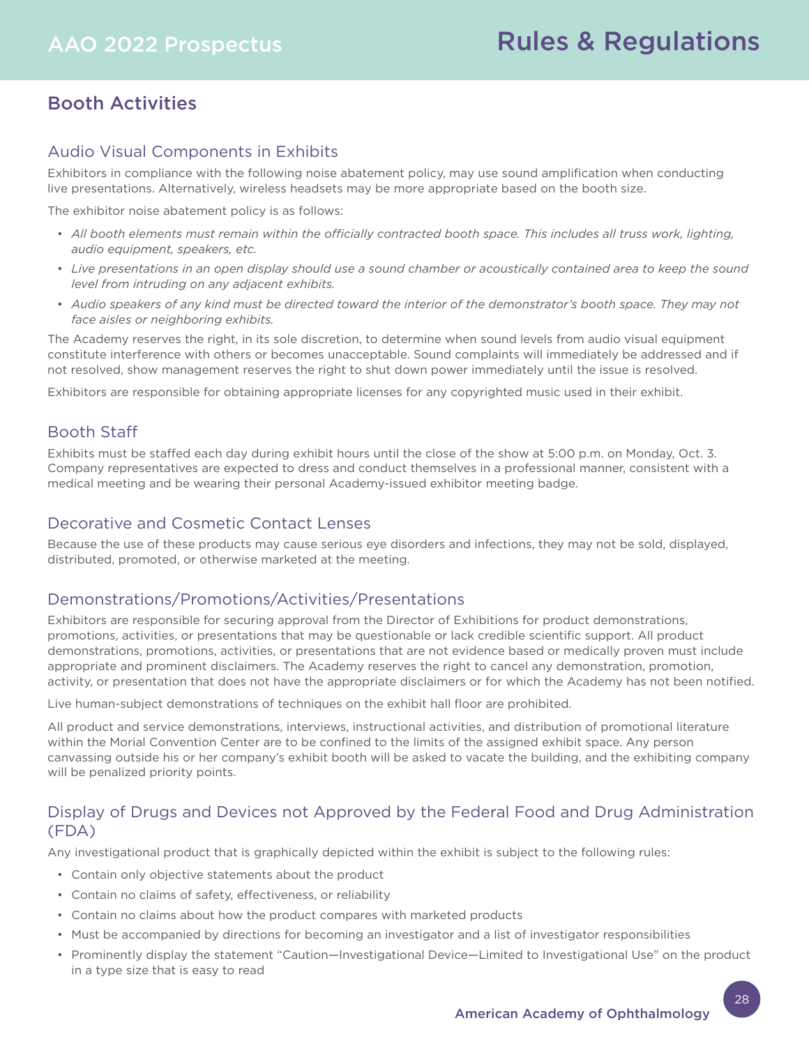# Booth Activities

## Audio Visual Components in Exhibits

Exhibitors in compliance with the following noise abatement policy, may use sound amplification when conducting live presentations. Alternatively, wireless headsets may be more appropriate based on the booth size.

The exhibitor noise abatement policy is as follows:

- *All booth elements must remain within the officially contracted booth space. This includes all truss work, lighting, audio equipment, speakers, etc.*
- *Live presentations in an open display should use a sound chamber or acoustically contained area to keep the sound level from intruding on any adjacent exhibits.*
- *Audio speakers of any kind must be directed toward the interior of the demonstrator's booth space. They may not face aisles or neighboring exhibits.*

The Academy reserves the right, in its sole discretion, to determine when sound levels from audio visual equipment constitute interference with others or becomes unacceptable. Sound complaints will immediately be addressed and if not resolved, show management reserves the right to shut down power immediately until the issue is resolved.

Exhibitors are responsible for obtaining appropriate licenses for any copyrighted music used in their exhibit.

# Booth Staff

Exhibits must be staffed each day during exhibit hours until the close of the show at 5:00 p.m. on Monday, Oct. 3. Company representatives are expected to dress and conduct themselves in a professional manner, consistent with a medical meeting and be wearing their personal Academy-issued exhibitor meeting badge.

## Decorative and Cosmetic Contact Lenses

Because the use of these products may cause serious eye disorders and infections, they may not be sold, displayed, distributed, promoted, or otherwise marketed at the meeting.

## Demonstrations/Promotions/Activities/Presentations

Exhibitors are responsible for securing approval from the Director of Exhibitions for product demonstrations, promotions, activities, or presentations that may be questionable or lack credible scientific support. All product demonstrations, promotions, activities, or presentations that are not evidence based or medically proven must include appropriate and prominent disclaimers. The Academy reserves the right to cancel any demonstration, promotion, activity, or presentation that does not have the appropriate disclaimers or for which the Academy has not been notified.

Live human-subject demonstrations of techniques on the exhibit hall floor are prohibited.

All product and service demonstrations, interviews, instructional activities, and distribution of promotional literature within the Morial Convention Center are to be confined to the limits of the assigned exhibit space. Any person canvassing outside his or her company's exhibit booth will be asked to vacate the building, and the exhibiting company will be penalized priority points.

# Display of Drugs and Devices not Approved by the Federal Food and Drug Administration (FDA)

Any investigational product that is graphically depicted within the exhibit is subject to the following rules:

- Contain only objective statements about the product
- Contain no claims of safety, effectiveness, or reliability
- Contain no claims about how the product compares with marketed products
- Must be accompanied by directions for becoming an investigator and a list of investigator responsibilities
- Prominently display the statement "Caution—Investigational Device—Limited to Investigational Use" on the product in a type size that is easy to read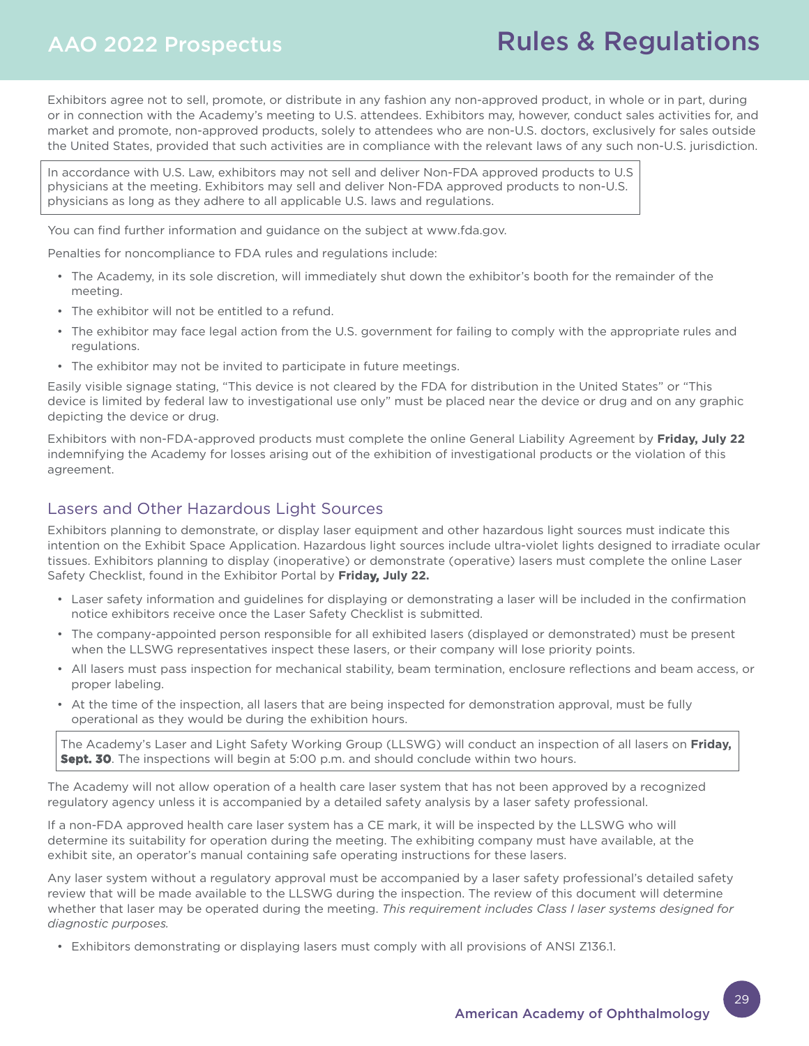# AAO 2022 Prospectus

# Rules & Regulations

Exhibitors agree not to sell, promote, or distribute in any fashion any non-approved product, in whole or in part, during or in connection with the Academy's meeting to U.S. attendees. Exhibitors may, however, conduct sales activities for, and market and promote, non-approved products, solely to attendees who are non-U.S. doctors, exclusively for sales outside the United States, provided that such activities are in compliance with the relevant laws of any such non-U.S. jurisdiction.

In accordance with U.S. Law, exhibitors may not sell and deliver Non-FDA approved products to U.S physicians at the meeting. Exhibitors may sell and deliver Non-FDA approved products to non-U.S. physicians as long as they adhere to all applicable U.S. laws and regulations.

You can find further information and guidance on the subject at www.fda.gov.

Penalties for noncompliance to FDA rules and regulations include:

- The Academy, in its sole discretion, will immediately shut down the exhibitor's booth for the remainder of the meeting.
- The exhibitor will not be entitled to a refund.
- The exhibitor may face legal action from the U.S. government for failing to comply with the appropriate rules and regulations.
- The exhibitor may not be invited to participate in future meetings.

Easily visible signage stating, "This device is not cleared by the FDA for distribution in the United States" or "This device is limited by federal law to investigational use only" must be placed near the device or drug and on any graphic depicting the device or drug.

Exhibitors with non-FDA-approved products must complete the online General Liability Agreement by **Friday, July 22** indemnifying the Academy for losses arising out of the exhibition of investigational products or the violation of this agreement.

## Lasers and Other Hazardous Light Sources

Exhibitors planning to demonstrate, or display laser equipment and other hazardous light sources must indicate this intention on the Exhibit Space Application. Hazardous light sources include ultra-violet lights designed to irradiate ocular tissues. Exhibitors planning to display (inoperative) or demonstrate (operative) lasers must complete the online Laser Safety Checklist, found in the Exhibitor Portal by **Friday, July 22.** 

- Laser safety information and guidelines for displaying or demonstrating a laser will be included in the confirmation notice exhibitors receive once the Laser Safety Checklist is submitted.
- The company-appointed person responsible for all exhibited lasers (displayed or demonstrated) must be present when the LLSWG representatives inspect these lasers, or their company will lose priority points.
- All lasers must pass inspection for mechanical stability, beam termination, enclosure reflections and beam access, or proper labeling.
- At the time of the inspection, all lasers that are being inspected for demonstration approval, must be fully operational as they would be during the exhibition hours.

The Academy's Laser and Light Safety Working Group (LLSWG) will conduct an inspection of all lasers on **Friday, Sept. 30**. The inspections will begin at 5:00 p.m. and should conclude within two hours.

The Academy will not allow operation of a health care laser system that has not been approved by a recognized regulatory agency unless it is accompanied by a detailed safety analysis by a laser safety professional.

If a non-FDA approved health care laser system has a CE mark, it will be inspected by the LLSWG who will determine its suitability for operation during the meeting. The exhibiting company must have available, at the exhibit site, an operator's manual containing safe operating instructions for these lasers.

Any laser system without a regulatory approval must be accompanied by a laser safety professional's detailed safety review that will be made available to the LLSWG during the inspection. The review of this document will determine whether that laser may be operated during the meeting. *This requirement includes Class I laser systems designed for diagnostic purposes.*

• Exhibitors demonstrating or displaying lasers must comply with all provisions of ANSI Z136.1.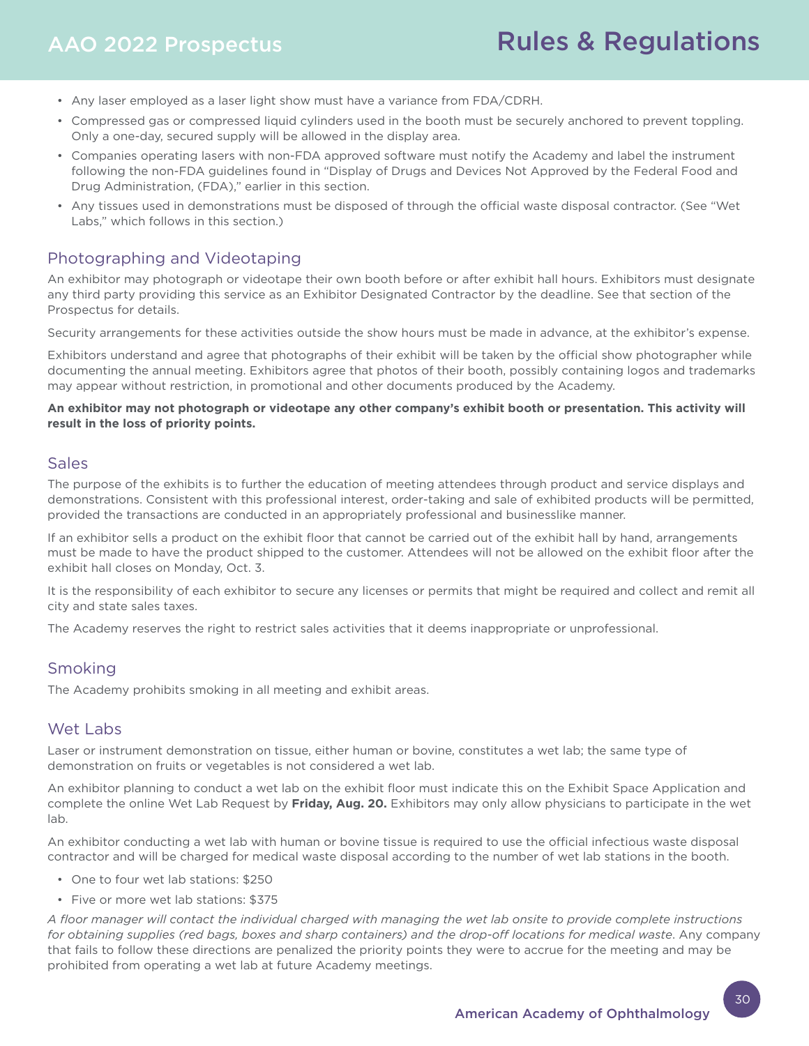- Any laser employed as a laser light show must have a variance from FDA/CDRH.
- Compressed gas or compressed liquid cylinders used in the booth must be securely anchored to prevent toppling. Only a one-day, secured supply will be allowed in the display area.
- Companies operating lasers with non-FDA approved software must notify the Academy and label the instrument following the non-FDA guidelines found in "Display of Drugs and Devices Not Approved by the Federal Food and Drug Administration, (FDA)," earlier in this section.
- Any tissues used in demonstrations must be disposed of through the official waste disposal contractor. (See "Wet Labs," which follows in this section.)

## Photographing and Videotaping

An exhibitor may photograph or videotape their own booth before or after exhibit hall hours. Exhibitors must designate any third party providing this service as an Exhibitor Designated Contractor by the deadline. See that section of the Prospectus for details.

Security arrangements for these activities outside the show hours must be made in advance, at the exhibitor's expense.

Exhibitors understand and agree that photographs of their exhibit will be taken by the official show photographer while documenting the annual meeting. Exhibitors agree that photos of their booth, possibly containing logos and trademarks may appear without restriction, in promotional and other documents produced by the Academy.

#### **An exhibitor may not photograph or videotape any other company's exhibit booth or presentation. This activity will result in the loss of priority points.**

#### Sales

The purpose of the exhibits is to further the education of meeting attendees through product and service displays and demonstrations. Consistent with this professional interest, order-taking and sale of exhibited products will be permitted, provided the transactions are conducted in an appropriately professional and businesslike manner.

If an exhibitor sells a product on the exhibit floor that cannot be carried out of the exhibit hall by hand, arrangements must be made to have the product shipped to the customer. Attendees will not be allowed on the exhibit floor after the exhibit hall closes on Monday, Oct. 3.

It is the responsibility of each exhibitor to secure any licenses or permits that might be required and collect and remit all city and state sales taxes.

The Academy reserves the right to restrict sales activities that it deems inappropriate or unprofessional.

## Smoking

The Academy prohibits smoking in all meeting and exhibit areas.

## Wet Labs

Laser or instrument demonstration on tissue, either human or bovine, constitutes a wet lab; the same type of demonstration on fruits or vegetables is not considered a wet lab.

An exhibitor planning to conduct a wet lab on the exhibit floor must indicate this on the Exhibit Space Application and complete the online Wet Lab Request by **Friday, Aug. 20.** Exhibitors may only allow physicians to participate in the wet lab.

An exhibitor conducting a wet lab with human or bovine tissue is required to use the official infectious waste disposal contractor and will be charged for medical waste disposal according to the number of wet lab stations in the booth.

- One to four wet lab stations: \$250
- Five or more wet lab stations: \$375

*A floor manager will contact the individual charged with managing the wet lab onsite to provide complete instructions for obtaining supplies (red bags, boxes and sharp containers) and the drop-off locations for medical waste*. Any company that fails to follow these directions are penalized the priority points they were to accrue for the meeting and may be prohibited from operating a wet lab at future Academy meetings.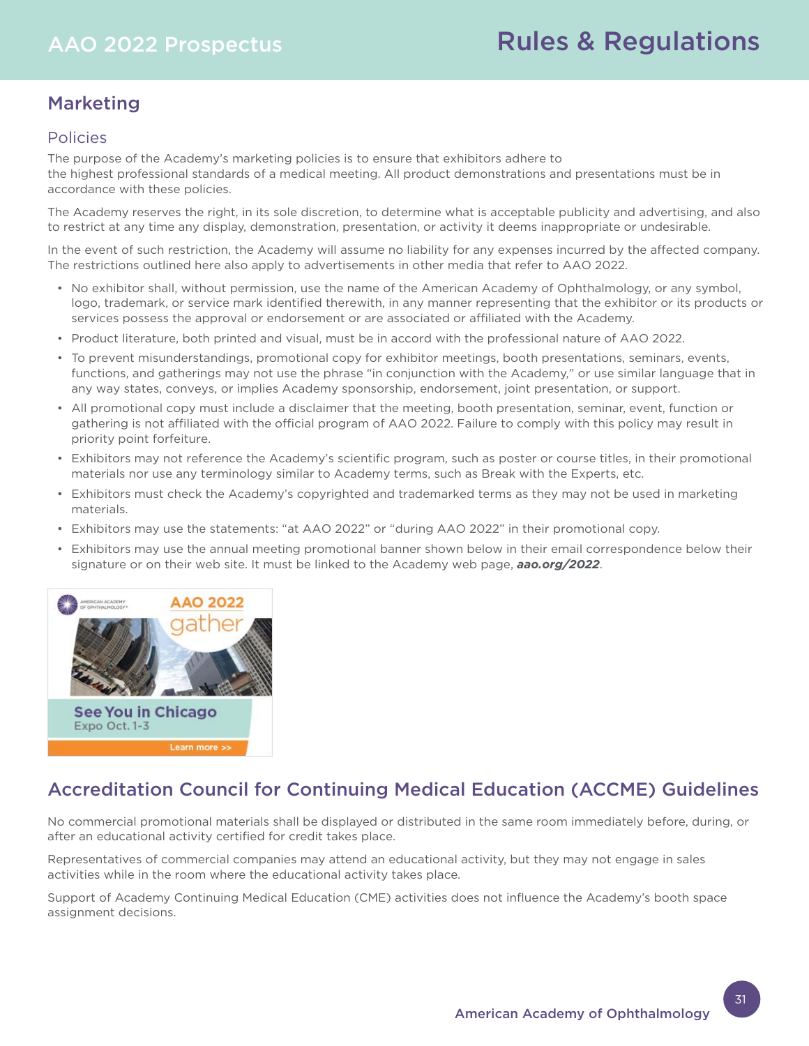# Marketing

# Policies

The purpose of the Academy's marketing policies is to ensure that exhibitors adhere to the highest professional standards of a medical meeting. All product demonstrations and presentations must be in accordance with these policies.

The Academy reserves the right, in its sole discretion, to determine what is acceptable publicity and advertising, and also to restrict at any time any display, demonstration, presentation, or activity it deems inappropriate or undesirable.

In the event of such restriction, the Academy will assume no liability for any expenses incurred by the affected company. The restrictions outlined here also apply to advertisements in other media that refer to AAO 2022.

- No exhibitor shall, without permission, use the name of the American Academy of Ophthalmology, or any symbol, logo, trademark, or service mark identified therewith, in any manner representing that the exhibitor or its products or services possess the approval or endorsement or are associated or affiliated with the Academy.
- Product literature, both printed and visual, must be in accord with the professional nature of AAO 2022.
- To prevent misunderstandings, promotional copy for exhibitor meetings, booth presentations, seminars, events, functions, and gatherings may not use the phrase "in conjunction with the Academy," or use similar language that in any way states, conveys, or implies Academy sponsorship, endorsement, joint presentation, or support.
- All promotional copy must include a disclaimer that the meeting, booth presentation, seminar, event, function or gathering is not affiliated with the official program of AAO 2022. Failure to comply with this policy may result in priority point forfeiture.
- Exhibitors may not reference the Academy's scientific program, such as poster or course titles, in their promotional materials nor use any terminology similar to Academy terms, such as Break with the Experts, etc.
- Exhibitors must check the Academy's copyrighted and trademarked terms as they may not be used in marketing materials.
- Exhibitors may use the statements: "at AAO 2022" or "during AAO 2022" in their promotional copy.
- Exhibitors may use the annual meeting promotional banner shown below in their email correspondence below their signature or on their web site. It must be linked to the Academy web page, *aao.org/2022*.



# Accreditation Council for Continuing Medical Education (ACCME) Guidelines

No commercial promotional materials shall be displayed or distributed in the same room immediately before, during, or after an educational activity certified for credit takes place.

Representatives of commercial companies may attend an educational activity, but they may not engage in sales activities while in the room where the educational activity takes place.

Support of Academy Continuing Medical Education (CME) activities does not influence the Academy's booth space assignment decisions.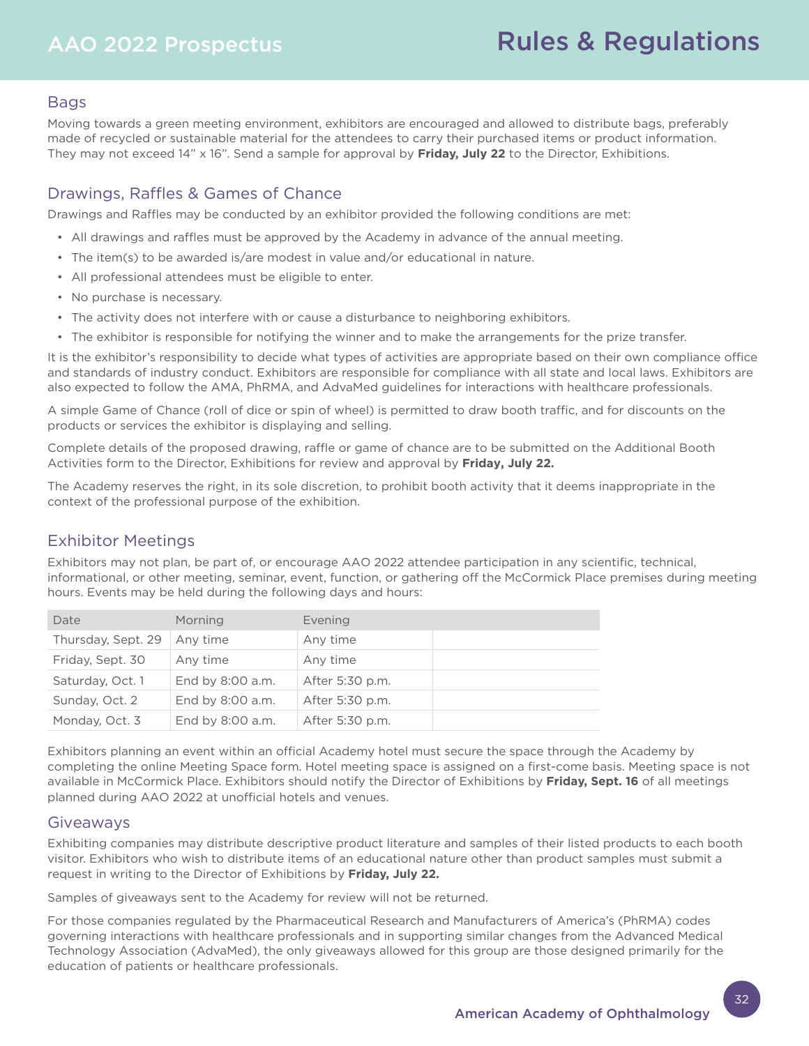# AAO 2022 Prospectus

# Rules & Regulations

## Bags

Moving towards a green meeting environment, exhibitors are encouraged and allowed to distribute bags, preferably made of recycled or sustainable material for the attendees to carry their purchased items or product information. They may not exceed 14" x 16". Send a sample for approval by **Friday, July 22** to the Director, Exhibitions.

# Drawings, Raffles & Games of Chance

Drawings and Raffles may be conducted by an exhibitor provided the following conditions are met:

- All drawings and raffles must be approved by the Academy in advance of the annual meeting.
- The item(s) to be awarded is/are modest in value and/or educational in nature.
- All professional attendees must be eligible to enter.
- No purchase is necessary.
- The activity does not interfere with or cause a disturbance to neighboring exhibitors.
- The exhibitor is responsible for notifying the winner and to make the arrangements for the prize transfer.

It is the exhibitor's responsibility to decide what types of activities are appropriate based on their own compliance office and standards of industry conduct. Exhibitors are responsible for compliance with all state and local laws. Exhibitors are also expected to follow the AMA, PhRMA, and AdvaMed guidelines for interactions with healthcare professionals.

A simple Game of Chance (roll of dice or spin of wheel) is permitted to draw booth traffic, and for discounts on the products or services the exhibitor is displaying and selling.

Complete details of the proposed drawing, raffle or game of chance are to be submitted on the Additional Booth Activities form to the Director, Exhibitions for review and approval by **Friday, July 22.** 

The Academy reserves the right, in its sole discretion, to prohibit booth activity that it deems inappropriate in the context of the professional purpose of the exhibition.

## Exhibitor Meetings

Exhibitors may not plan, be part of, or encourage AAO 2022 attendee participation in any scientific, technical, informational, or other meeting, seminar, event, function, or gathering off the McCormick Place premises during meeting hours. Events may be held during the following days and hours:

| Date               | Morning          | Evening         |  |
|--------------------|------------------|-----------------|--|
| Thursday, Sept. 29 | Any time         | Any time        |  |
| Friday, Sept. 30   | Any time         | Any time        |  |
| Saturday, Oct. 1   | End by 8:00 a.m. | After 5:30 p.m. |  |
| Sunday, Oct. 2     | End by 8:00 a.m. | After 5:30 p.m. |  |
| Monday, Oct. 3     | End by 8:00 a.m. | After 5:30 p.m. |  |

Exhibitors planning an event within an official Academy hotel must secure the space through the Academy by completing the online Meeting Space form. Hotel meeting space is assigned on a first-come basis. Meeting space is not available in McCormick Place. Exhibitors should notify the Director of Exhibitions by **Friday, Sept. 16** of all meetings planned during AAO 2022 at unofficial hotels and venues.

#### Giveaways

Exhibiting companies may distribute descriptive product literature and samples of their listed products to each booth visitor. Exhibitors who wish to distribute items of an educational nature other than product samples must submit a request in writing to the Director of Exhibitions by **Friday, July 22.** 

Samples of giveaways sent to the Academy for review will not be returned.

For those companies regulated by the Pharmaceutical Research and Manufacturers of America's (PhRMA) codes governing interactions with healthcare professionals and in supporting similar changes from the Advanced Medical Technology Association (AdvaMed), the only giveaways allowed for this group are those designed primarily for the education of patients or healthcare professionals.